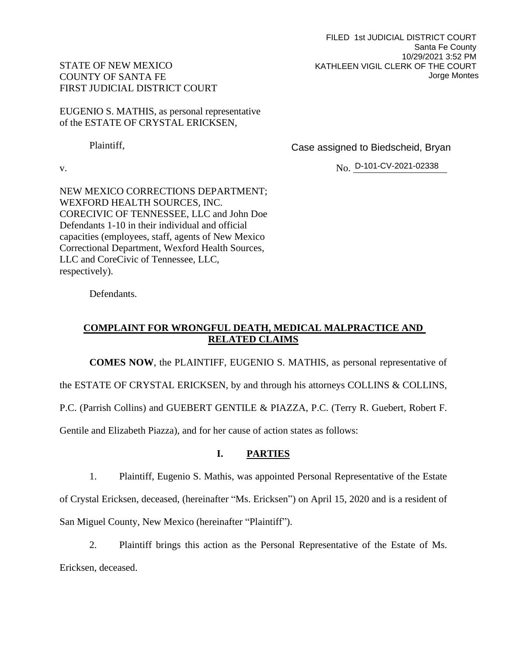FILED 1st JUDICIAL DISTRICT COURT Santa Fe County 10/29/2021 3:52 PM KATHLEEN VIGIL CLERK OF THE COURT Jorge Montes

# STATE OF NEW MEXICO COUNTY OF SANTA FE FIRST JUDICIAL DISTRICT COURT

EUGENIO S. MATHIS, as personal representative of the ESTATE OF CRYSTAL ERICKSEN,

Plaintiff,

Case assigned to Biedscheid, Bryan

v. No. No. D-101-CV-2021-02338

NEW MEXICO CORRECTIONS DEPARTMENT; WEXFORD HEALTH SOURCES, INC. CORECIVIC OF TENNESSEE, LLC and John Doe Defendants 1-10 in their individual and official capacities (employees, staff, agents of New Mexico Correctional Department, Wexford Health Sources, LLC and CoreCivic of Tennessee, LLC, respectively).

Defendants.

# **COMPLAINT FOR WRONGFUL DEATH, MEDICAL MALPRACTICE AND RELATED CLAIMS**

**COMES NOW**, the PLAINTIFF, EUGENIO S. MATHIS, as personal representative of

the ESTATE OF CRYSTAL ERICKSEN, by and through his attorneys COLLINS & COLLINS,

P.C. (Parrish Collins) and GUEBERT GENTILE & PIAZZA, P.C. (Terry R. Guebert, Robert F.

Gentile and Elizabeth Piazza), and for her cause of action states as follows:

# **I. PARTIES**

1. Plaintiff, Eugenio S. Mathis, was appointed Personal Representative of the Estate of Crystal Ericksen, deceased, (hereinafter "Ms. Ericksen") on April 15, 2020 and is a resident of San Miguel County, New Mexico (hereinafter "Plaintiff").

2. Plaintiff brings this action as the Personal Representative of the Estate of Ms. Ericksen, deceased.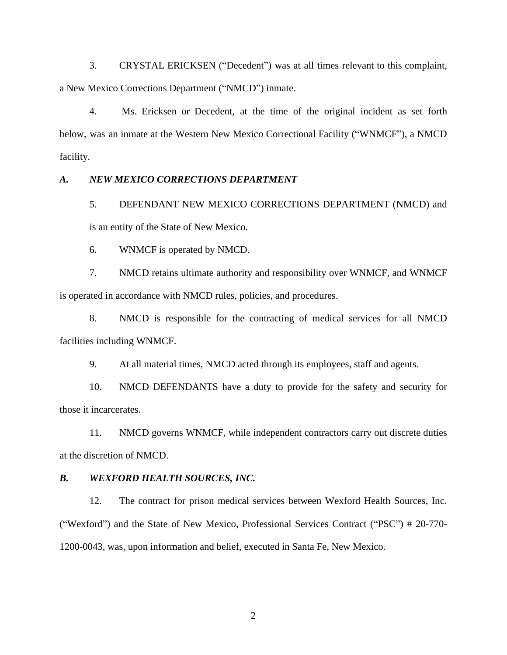3. CRYSTAL ERICKSEN ("Decedent") was at all times relevant to this complaint, a New Mexico Corrections Department ("NMCD") inmate.

4. Ms. Ericksen or Decedent, at the time of the original incident as set forth below, was an inmate at the Western New Mexico Correctional Facility ("WNMCF"), a NMCD facility.

#### *A. NEW MEXICO CORRECTIONS DEPARTMENT*

5. DEFENDANT NEW MEXICO CORRECTIONS DEPARTMENT (NMCD) and is an entity of the State of New Mexico.

6. WNMCF is operated by NMCD.

7. NMCD retains ultimate authority and responsibility over WNMCF, and WNMCF is operated in accordance with NMCD rules, policies, and procedures.

8. NMCD is responsible for the contracting of medical services for all NMCD facilities including WNMCF.

9. At all material times, NMCD acted through its employees, staff and agents.

10. NMCD DEFENDANTS have a duty to provide for the safety and security for those it incarcerates.

11. NMCD governs WNMCF, while independent contractors carry out discrete duties at the discretion of NMCD.

#### *B. WEXFORD HEALTH SOURCES, INC.*

12. The contract for prison medical services between Wexford Health Sources, Inc. ("Wexford") and the State of New Mexico, Professional Services Contract ("PSC") # 20-770- 1200-0043, was, upon information and belief, executed in Santa Fe, New Mexico.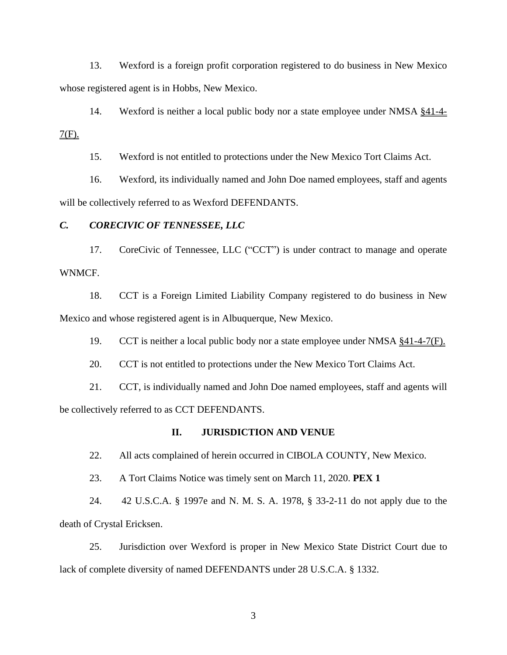13. Wexford is a foreign profit corporation registered to do business in New Mexico whose registered agent is in Hobbs, New Mexico.

14. Wexford is neither a local public body nor a state employee under NMSA §41-4-  $7(F)$ .

15. Wexford is not entitled to protections under the New Mexico Tort Claims Act.

16. Wexford, its individually named and John Doe named employees, staff and agents will be collectively referred to as Wexford DEFENDANTS.

#### *C. CORECIVIC OF TENNESSEE, LLC*

17. CoreCivic of Tennessee, LLC ("CCT") is under contract to manage and operate WNMCF.

18. CCT is a Foreign Limited Liability Company registered to do business in New Mexico and whose registered agent is in Albuquerque, New Mexico.

19. CCT is neither a local public body nor a state employee under NMSA §41-4-7(F).

20. CCT is not entitled to protections under the New Mexico Tort Claims Act.

21. CCT, is individually named and John Doe named employees, staff and agents will be collectively referred to as CCT DEFENDANTS.

#### **II. JURISDICTION AND VENUE**

22. All acts complained of herein occurred in CIBOLA COUNTY, New Mexico.

23. A Tort Claims Notice was timely sent on March 11, 2020. **PEX 1**

24. 42 U.S.C.A. § 1997e and N. M. S. A. 1978, § 33-2-11 do not apply due to the death of Crystal Ericksen.

25. Jurisdiction over Wexford is proper in New Mexico State District Court due to lack of complete diversity of named DEFENDANTS under 28 U.S.C.A. § 1332.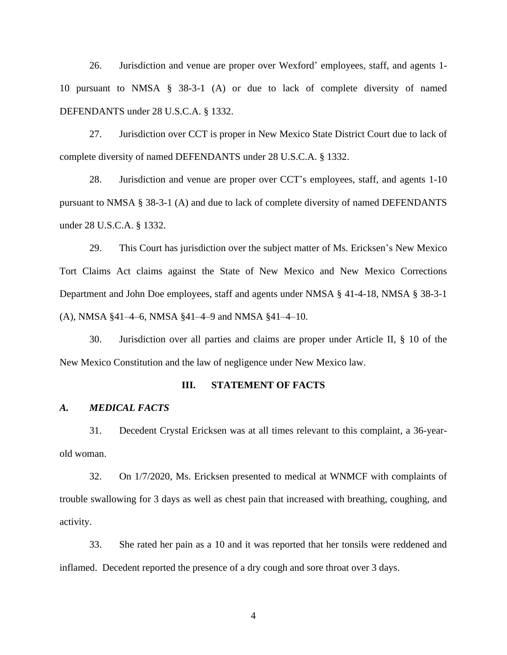26. Jurisdiction and venue are proper over Wexford' employees, staff, and agents 1- 10 pursuant to NMSA § 38-3-1 (A) or due to lack of complete diversity of named DEFENDANTS under 28 U.S.C.A. § 1332.

27. Jurisdiction over CCT is proper in New Mexico State District Court due to lack of complete diversity of named DEFENDANTS under 28 U.S.C.A. § 1332.

28. Jurisdiction and venue are proper over CCT's employees, staff, and agents 1-10 pursuant to NMSA § 38-3-1 (A) and due to lack of complete diversity of named DEFENDANTS under 28 U.S.C.A. § 1332.

29. This Court has jurisdiction over the subject matter of Ms. Ericksen's New Mexico Tort Claims Act claims against the State of New Mexico and New Mexico Corrections Department and John Doe employees, staff and agents under NMSA § 41-4-18, NMSA § 38-3-1 (A), NMSA §41–4–6, NMSA §41–4–9 and NMSA §41–4–10.

30. Jurisdiction over all parties and claims are proper under Article II, § 10 of the New Mexico Constitution and the law of negligence under New Mexico law.

#### **III. STATEMENT OF FACTS**

## *A. MEDICAL FACTS*

31. Decedent Crystal Ericksen was at all times relevant to this complaint, a 36-yearold woman.

32. On 1/7/2020, Ms. Ericksen presented to medical at WNMCF with complaints of trouble swallowing for 3 days as well as chest pain that increased with breathing, coughing, and activity.

33. She rated her pain as a 10 and it was reported that her tonsils were reddened and inflamed. Decedent reported the presence of a dry cough and sore throat over 3 days.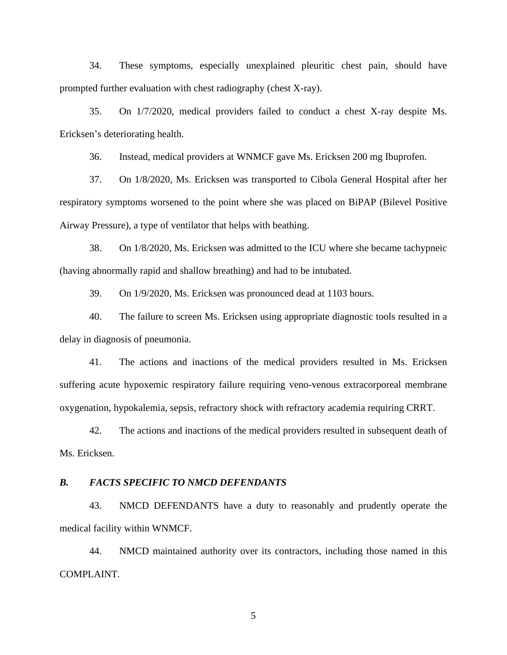34. These symptoms, especially unexplained pleuritic chest pain, should have prompted further evaluation with chest radiography (chest X-ray).

35. On 1/7/2020, medical providers failed to conduct a chest X-ray despite Ms. Ericksen's deteriorating health.

36. Instead, medical providers at WNMCF gave Ms. Ericksen 200 mg Ibuprofen.

37. On 1/8/2020, Ms. Ericksen was transported to Cibola General Hospital after her respiratory symptoms worsened to the point where she was placed on BiPAP (Bilevel Positive Airway Pressure), a type of ventilator that helps with beathing.

38. On 1/8/2020, Ms. Ericksen was admitted to the ICU where she became tachypneic (having abnormally rapid and shallow breathing) and had to be intubated.

39. On 1/9/2020, Ms. Ericksen was pronounced dead at 1103 hours.

40. The failure to screen Ms. Ericksen using appropriate diagnostic tools resulted in a delay in diagnosis of pneumonia.

41. The actions and inactions of the medical providers resulted in Ms. Ericksen suffering acute hypoxemic respiratory failure requiring veno-venous extracorporeal membrane oxygenation, hypokalemia, sepsis, refractory shock with refractory academia requiring CRRT.

42. The actions and inactions of the medical providers resulted in subsequent death of Ms. Ericksen.

#### *B. FACTS SPECIFIC TO NMCD DEFENDANTS*

43. NMCD DEFENDANTS have a duty to reasonably and prudently operate the medical facility within WNMCF.

44. NMCD maintained authority over its contractors, including those named in this COMPLAINT.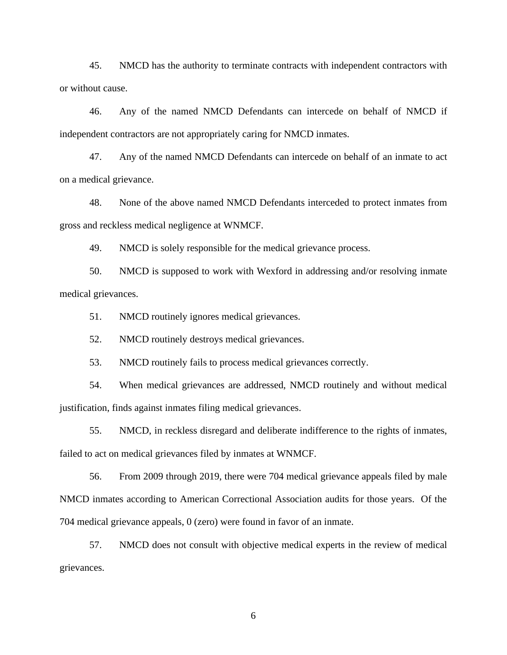45. NMCD has the authority to terminate contracts with independent contractors with or without cause.

46. Any of the named NMCD Defendants can intercede on behalf of NMCD if independent contractors are not appropriately caring for NMCD inmates.

47. Any of the named NMCD Defendants can intercede on behalf of an inmate to act on a medical grievance.

48. None of the above named NMCD Defendants interceded to protect inmates from gross and reckless medical negligence at WNMCF.

49. NMCD is solely responsible for the medical grievance process.

50. NMCD is supposed to work with Wexford in addressing and/or resolving inmate medical grievances.

51. NMCD routinely ignores medical grievances.

52. NMCD routinely destroys medical grievances.

53. NMCD routinely fails to process medical grievances correctly.

54. When medical grievances are addressed, NMCD routinely and without medical justification, finds against inmates filing medical grievances.

55. NMCD, in reckless disregard and deliberate indifference to the rights of inmates, failed to act on medical grievances filed by inmates at WNMCF.

56. From 2009 through 2019, there were 704 medical grievance appeals filed by male NMCD inmates according to American Correctional Association audits for those years. Of the 704 medical grievance appeals, 0 (zero) were found in favor of an inmate.

57. NMCD does not consult with objective medical experts in the review of medical grievances.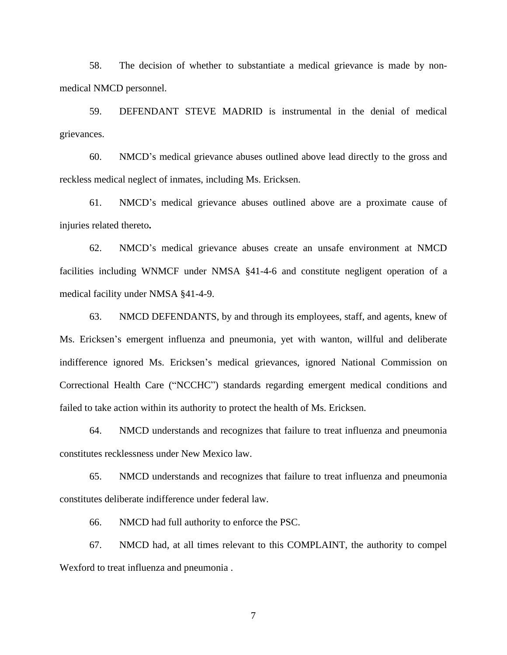58. The decision of whether to substantiate a medical grievance is made by nonmedical NMCD personnel.

59. DEFENDANT STEVE MADRID is instrumental in the denial of medical grievances.

60. NMCD's medical grievance abuses outlined above lead directly to the gross and reckless medical neglect of inmates, including Ms. Ericksen.

61. NMCD's medical grievance abuses outlined above are a proximate cause of injuries related thereto**.**

62. NMCD's medical grievance abuses create an unsafe environment at NMCD facilities including WNMCF under NMSA §41-4-6 and constitute negligent operation of a medical facility under NMSA §41-4-9.

63. NMCD DEFENDANTS, by and through its employees, staff, and agents, knew of Ms. Ericksen's emergent influenza and pneumonia, yet with wanton, willful and deliberate indifference ignored Ms. Ericksen's medical grievances, ignored National Commission on Correctional Health Care ("NCCHC") standards regarding emergent medical conditions and failed to take action within its authority to protect the health of Ms. Ericksen.

64. NMCD understands and recognizes that failure to treat influenza and pneumonia constitutes recklessness under New Mexico law.

65. NMCD understands and recognizes that failure to treat influenza and pneumonia constitutes deliberate indifference under federal law.

66. NMCD had full authority to enforce the PSC.

67. NMCD had, at all times relevant to this COMPLAINT, the authority to compel Wexford to treat influenza and pneumonia .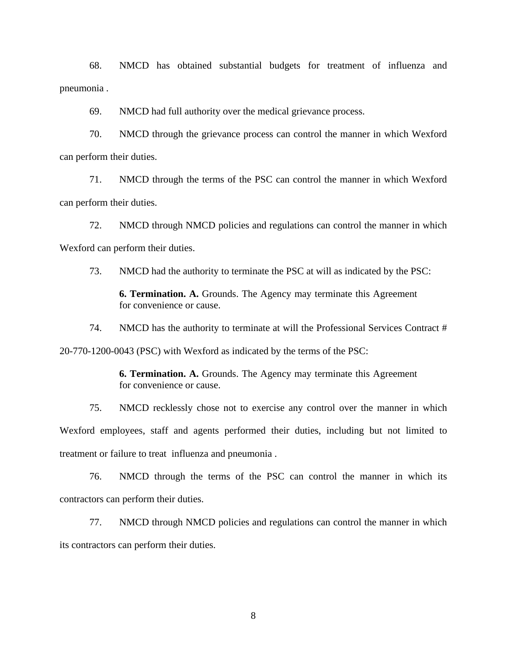68. NMCD has obtained substantial budgets for treatment of influenza and pneumonia .

69. NMCD had full authority over the medical grievance process.

70. NMCD through the grievance process can control the manner in which Wexford can perform their duties.

71. NMCD through the terms of the PSC can control the manner in which Wexford can perform their duties.

72. NMCD through NMCD policies and regulations can control the manner in which Wexford can perform their duties.

73. NMCD had the authority to terminate the PSC at will as indicated by the PSC:

**6. Termination. A.** Grounds. The Agency may terminate this Agreement for convenience or cause.

74. NMCD has the authority to terminate at will the Professional Services Contract #

20-770-1200-0043 (PSC) with Wexford as indicated by the terms of the PSC:

**6. Termination. A.** Grounds. The Agency may terminate this Agreement for convenience or cause.

75. NMCD recklessly chose not to exercise any control over the manner in which Wexford employees, staff and agents performed their duties, including but not limited to treatment or failure to treat influenza and pneumonia .

76. NMCD through the terms of the PSC can control the manner in which its contractors can perform their duties.

77. NMCD through NMCD policies and regulations can control the manner in which its contractors can perform their duties.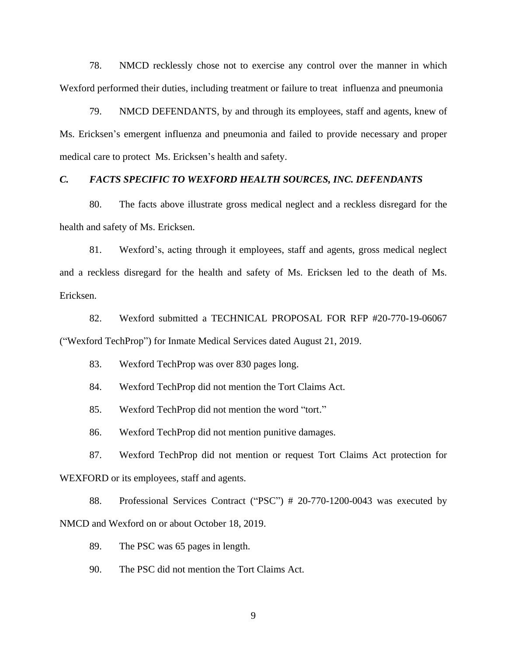78. NMCD recklessly chose not to exercise any control over the manner in which Wexford performed their duties, including treatment or failure to treat influenza and pneumonia

79. NMCD DEFENDANTS, by and through its employees, staff and agents, knew of Ms. Ericksen's emergent influenza and pneumonia and failed to provide necessary and proper medical care to protect Ms. Ericksen's health and safety.

#### *C. FACTS SPECIFIC TO WEXFORD HEALTH SOURCES, INC. DEFENDANTS*

80. The facts above illustrate gross medical neglect and a reckless disregard for the health and safety of Ms. Ericksen.

81. Wexford's, acting through it employees, staff and agents, gross medical neglect and a reckless disregard for the health and safety of Ms. Ericksen led to the death of Ms. Ericksen.

82. Wexford submitted a TECHNICAL PROPOSAL FOR RFP #20-770-19-06067 ("Wexford TechProp") for Inmate Medical Services dated August 21, 2019.

83. Wexford TechProp was over 830 pages long.

84. Wexford TechProp did not mention the Tort Claims Act.

85. Wexford TechProp did not mention the word "tort."

86. Wexford TechProp did not mention punitive damages.

87. Wexford TechProp did not mention or request Tort Claims Act protection for WEXFORD or its employees, staff and agents.

88. Professional Services Contract ("PSC") # 20-770-1200-0043 was executed by NMCD and Wexford on or about October 18, 2019.

89. The PSC was 65 pages in length.

90. The PSC did not mention the Tort Claims Act.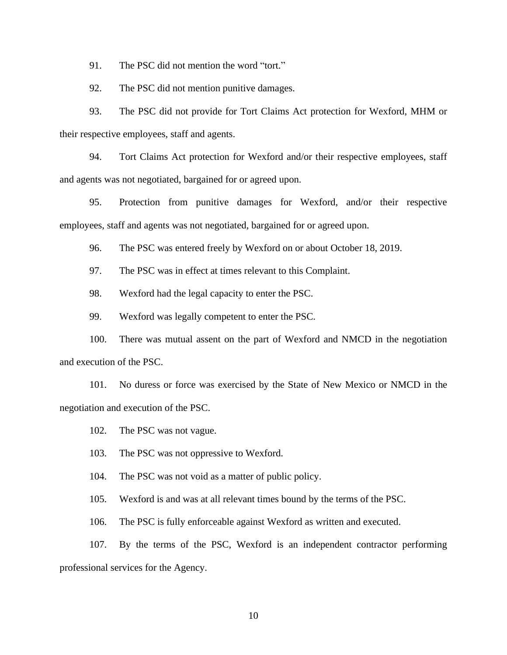91. The PSC did not mention the word "tort."

92. The PSC did not mention punitive damages.

93. The PSC did not provide for Tort Claims Act protection for Wexford, MHM or their respective employees, staff and agents.

94. Tort Claims Act protection for Wexford and/or their respective employees, staff and agents was not negotiated, bargained for or agreed upon.

95. Protection from punitive damages for Wexford, and/or their respective employees, staff and agents was not negotiated, bargained for or agreed upon.

96. The PSC was entered freely by Wexford on or about October 18, 2019.

97. The PSC was in effect at times relevant to this Complaint.

98. Wexford had the legal capacity to enter the PSC.

99. Wexford was legally competent to enter the PSC.

100. There was mutual assent on the part of Wexford and NMCD in the negotiation and execution of the PSC.

101. No duress or force was exercised by the State of New Mexico or NMCD in the negotiation and execution of the PSC.

102. The PSC was not vague.

103. The PSC was not oppressive to Wexford.

104. The PSC was not void as a matter of public policy.

105. Wexford is and was at all relevant times bound by the terms of the PSC.

106. The PSC is fully enforceable against Wexford as written and executed.

107. By the terms of the PSC, Wexford is an independent contractor performing professional services for the Agency.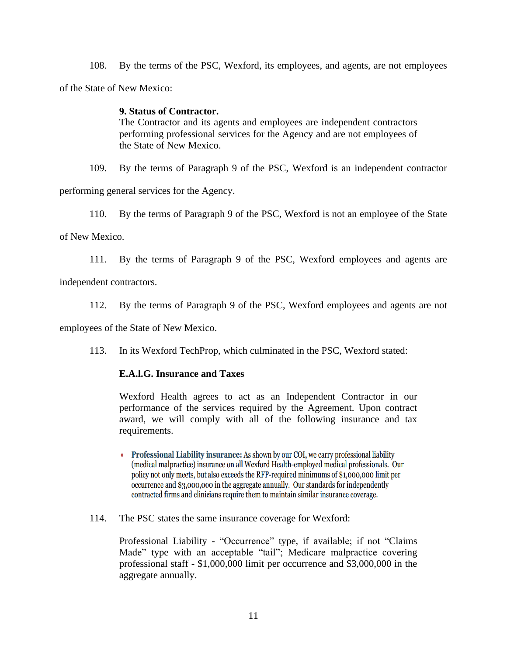108. By the terms of the PSC, Wexford, its employees, and agents, are not employees of the State of New Mexico:

## **9. Status of Contractor.**

The Contractor and its agents and employees are independent contractors performing professional services for the Agency and are not employees of the State of New Mexico.

109. By the terms of Paragraph 9 of the PSC, Wexford is an independent contractor

performing general services for the Agency.

110. By the terms of Paragraph 9 of the PSC, Wexford is not an employee of the State

of New Mexico.

111. By the terms of Paragraph 9 of the PSC, Wexford employees and agents are

independent contractors.

112. By the terms of Paragraph 9 of the PSC, Wexford employees and agents are not

employees of the State of New Mexico.

113. In its Wexford TechProp, which culminated in the PSC, Wexford stated:

## **E.A.l.G. Insurance and Taxes**

Wexford Health agrees to act as an Independent Contractor in our performance of the services required by the Agreement. Upon contract award, we will comply with all of the following insurance and tax requirements.

- Professional Liability insurance: As shown by our COI, we carry professional liability (medical malpractice) insurance on all Wexford Health-employed medical professionals. Our policy not only meets, but also exceeds the RFP-required minimums of \$1,000,000 limit per occurrence and \$3,000,000 in the aggregate annually. Our standards for independently contracted firms and clinicians require them to maintain similar insurance coverage.
- 114. The PSC states the same insurance coverage for Wexford:

Professional Liability - "Occurrence" type, if available; if not "Claims Made" type with an acceptable "tail"; Medicare malpractice covering professional staff - \$1,000,000 limit per occurrence and \$3,000,000 in the aggregate annually.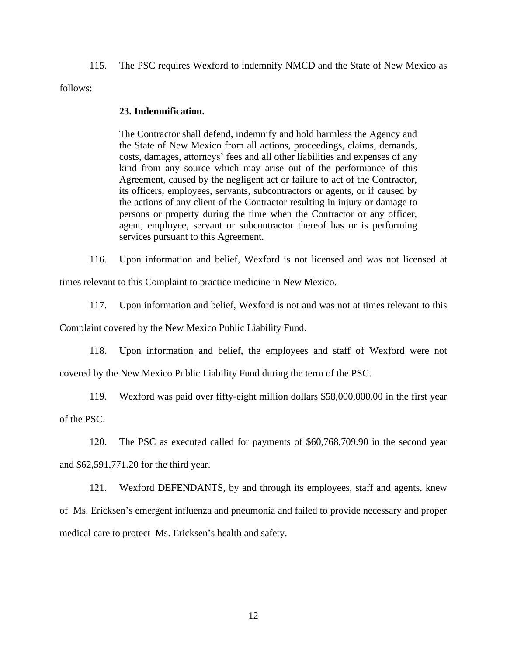115. The PSC requires Wexford to indemnify NMCD and the State of New Mexico as

follows:

#### **23. Indemnification.**

The Contractor shall defend, indemnify and hold harmless the Agency and the State of New Mexico from all actions, proceedings, claims, demands, costs, damages, attorneys' fees and all other liabilities and expenses of any kind from any source which may arise out of the performance of this Agreement, caused by the negligent act or failure to act of the Contractor, its officers, employees, servants, subcontractors or agents, or if caused by the actions of any client of the Contractor resulting in injury or damage to persons or property during the time when the Contractor or any officer, agent, employee, servant or subcontractor thereof has or is performing services pursuant to this Agreement.

116. Upon information and belief, Wexford is not licensed and was not licensed at

times relevant to this Complaint to practice medicine in New Mexico.

117. Upon information and belief, Wexford is not and was not at times relevant to this

Complaint covered by the New Mexico Public Liability Fund.

118. Upon information and belief, the employees and staff of Wexford were not

covered by the New Mexico Public Liability Fund during the term of the PSC.

119. Wexford was paid over fifty-eight million dollars \$58,000,000.00 in the first year of the PSC.

120. The PSC as executed called for payments of \$60,768,709.90 in the second year and \$62,591,771.20 for the third year.

121. Wexford DEFENDANTS, by and through its employees, staff and agents, knew of Ms. Ericksen's emergent influenza and pneumonia and failed to provide necessary and proper medical care to protect Ms. Ericksen's health and safety.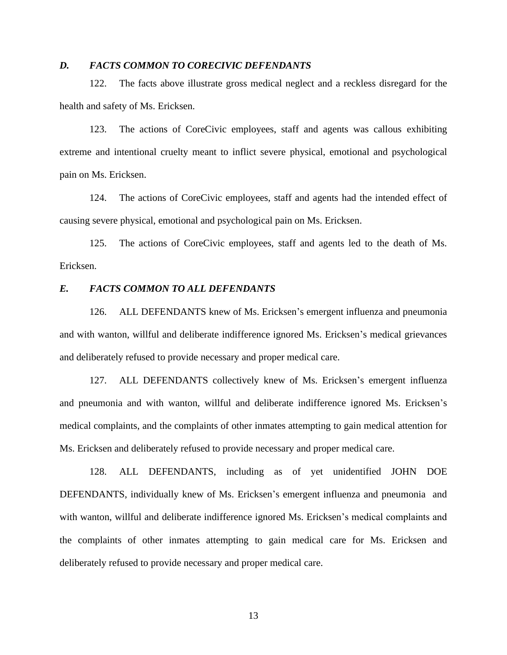## *D. FACTS COMMON TO CORECIVIC DEFENDANTS*

122. The facts above illustrate gross medical neglect and a reckless disregard for the health and safety of Ms. Ericksen.

123. The actions of CoreCivic employees, staff and agents was callous exhibiting extreme and intentional cruelty meant to inflict severe physical, emotional and psychological pain on Ms. Ericksen.

124. The actions of CoreCivic employees, staff and agents had the intended effect of causing severe physical, emotional and psychological pain on Ms. Ericksen.

125. The actions of CoreCivic employees, staff and agents led to the death of Ms. Ericksen.

#### *E. FACTS COMMON TO ALL DEFENDANTS*

126. ALL DEFENDANTS knew of Ms. Ericksen's emergent influenza and pneumonia and with wanton, willful and deliberate indifference ignored Ms. Ericksen's medical grievances and deliberately refused to provide necessary and proper medical care.

127. ALL DEFENDANTS collectively knew of Ms. Ericksen's emergent influenza and pneumonia and with wanton, willful and deliberate indifference ignored Ms. Ericksen's medical complaints, and the complaints of other inmates attempting to gain medical attention for Ms. Ericksen and deliberately refused to provide necessary and proper medical care.

128. ALL DEFENDANTS, including as of yet unidentified JOHN DOE DEFENDANTS, individually knew of Ms. Ericksen's emergent influenza and pneumonia and with wanton, willful and deliberate indifference ignored Ms. Ericksen's medical complaints and the complaints of other inmates attempting to gain medical care for Ms. Ericksen and deliberately refused to provide necessary and proper medical care.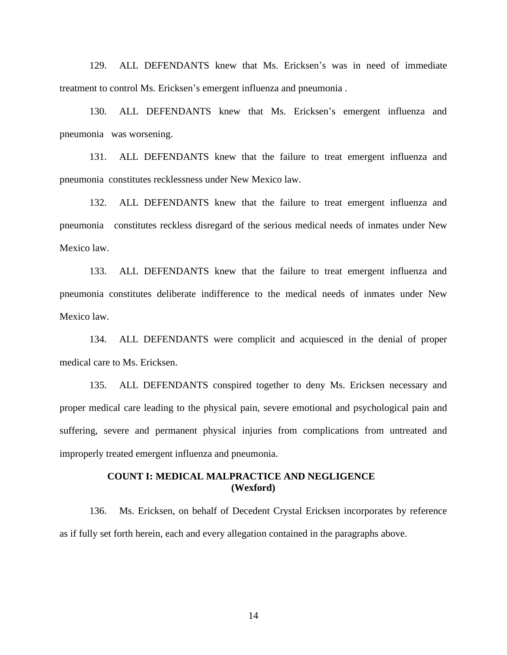129. ALL DEFENDANTS knew that Ms. Ericksen's was in need of immediate treatment to control Ms. Ericksen's emergent influenza and pneumonia .

130. ALL DEFENDANTS knew that Ms. Ericksen's emergent influenza and pneumonia was worsening.

131. ALL DEFENDANTS knew that the failure to treat emergent influenza and pneumonia constitutes recklessness under New Mexico law.

132. ALL DEFENDANTS knew that the failure to treat emergent influenza and pneumonia constitutes reckless disregard of the serious medical needs of inmates under New Mexico law.

133. ALL DEFENDANTS knew that the failure to treat emergent influenza and pneumonia constitutes deliberate indifference to the medical needs of inmates under New Mexico law.

134. ALL DEFENDANTS were complicit and acquiesced in the denial of proper medical care to Ms. Ericksen.

135. ALL DEFENDANTS conspired together to deny Ms. Ericksen necessary and proper medical care leading to the physical pain, severe emotional and psychological pain and suffering, severe and permanent physical injuries from complications from untreated and improperly treated emergent influenza and pneumonia.

## **COUNT I: MEDICAL MALPRACTICE AND NEGLIGENCE (Wexford)**

136. Ms. Ericksen, on behalf of Decedent Crystal Ericksen incorporates by reference as if fully set forth herein, each and every allegation contained in the paragraphs above.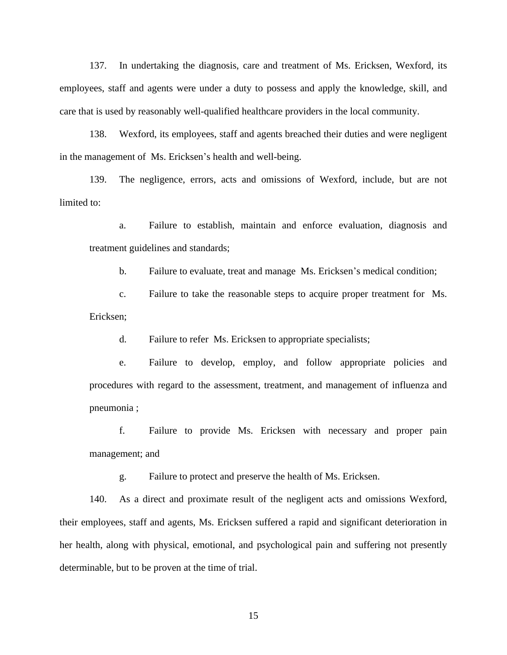137. In undertaking the diagnosis, care and treatment of Ms. Ericksen, Wexford, its employees, staff and agents were under a duty to possess and apply the knowledge, skill, and care that is used by reasonably well-qualified healthcare providers in the local community.

138. Wexford, its employees, staff and agents breached their duties and were negligent in the management of Ms. Ericksen's health and well-being.

139. The negligence, errors, acts and omissions of Wexford, include, but are not limited to:

a. Failure to establish, maintain and enforce evaluation, diagnosis and treatment guidelines and standards;

b. Failure to evaluate, treat and manage Ms. Ericksen's medical condition;

c. Failure to take the reasonable steps to acquire proper treatment for Ms. Ericksen;

d. Failure to refer Ms. Ericksen to appropriate specialists;

e. Failure to develop, employ, and follow appropriate policies and procedures with regard to the assessment, treatment, and management of influenza and pneumonia ;

f. Failure to provide Ms. Ericksen with necessary and proper pain management; and

g. Failure to protect and preserve the health of Ms. Ericksen.

140. As a direct and proximate result of the negligent acts and omissions Wexford, their employees, staff and agents, Ms. Ericksen suffered a rapid and significant deterioration in her health, along with physical, emotional, and psychological pain and suffering not presently determinable, but to be proven at the time of trial.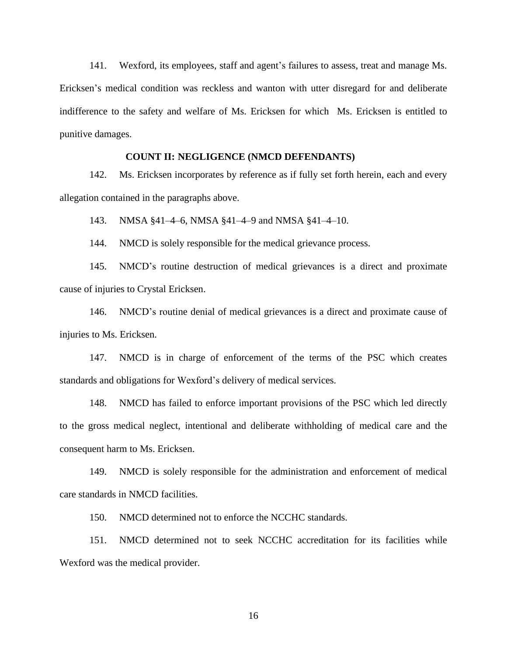141. Wexford, its employees, staff and agent's failures to assess, treat and manage Ms. Ericksen's medical condition was reckless and wanton with utter disregard for and deliberate indifference to the safety and welfare of Ms. Ericksen for which Ms. Ericksen is entitled to punitive damages.

## **COUNT II: NEGLIGENCE (NMCD DEFENDANTS)**

142. Ms. Ericksen incorporates by reference as if fully set forth herein, each and every allegation contained in the paragraphs above.

143. NMSA §41–4–6, NMSA §41–4–9 and NMSA §41–4–10.

144. NMCD is solely responsible for the medical grievance process.

145. NMCD's routine destruction of medical grievances is a direct and proximate cause of injuries to Crystal Ericksen.

146. NMCD's routine denial of medical grievances is a direct and proximate cause of injuries to Ms. Ericksen.

147. NMCD is in charge of enforcement of the terms of the PSC which creates standards and obligations for Wexford's delivery of medical services.

148. NMCD has failed to enforce important provisions of the PSC which led directly to the gross medical neglect, intentional and deliberate withholding of medical care and the consequent harm to Ms. Ericksen.

149. NMCD is solely responsible for the administration and enforcement of medical care standards in NMCD facilities.

150. NMCD determined not to enforce the NCCHC standards.

151. NMCD determined not to seek NCCHC accreditation for its facilities while Wexford was the medical provider.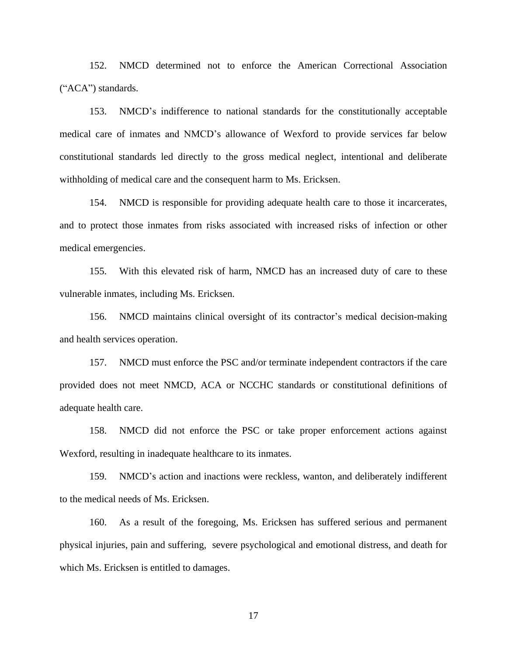152. NMCD determined not to enforce the American Correctional Association ("ACA") standards.

153. NMCD's indifference to national standards for the constitutionally acceptable medical care of inmates and NMCD's allowance of Wexford to provide services far below constitutional standards led directly to the gross medical neglect, intentional and deliberate withholding of medical care and the consequent harm to Ms. Ericksen.

154. NMCD is responsible for providing adequate health care to those it incarcerates, and to protect those inmates from risks associated with increased risks of infection or other medical emergencies.

155. With this elevated risk of harm, NMCD has an increased duty of care to these vulnerable inmates, including Ms. Ericksen.

156. NMCD maintains clinical oversight of its contractor's medical decision-making and health services operation.

157. NMCD must enforce the PSC and/or terminate independent contractors if the care provided does not meet NMCD, ACA or NCCHC standards or constitutional definitions of adequate health care.

158. NMCD did not enforce the PSC or take proper enforcement actions against Wexford, resulting in inadequate healthcare to its inmates.

159. NMCD's action and inactions were reckless, wanton, and deliberately indifferent to the medical needs of Ms. Ericksen.

160. As a result of the foregoing, Ms. Ericksen has suffered serious and permanent physical injuries, pain and suffering, severe psychological and emotional distress, and death for which Ms. Ericksen is entitled to damages.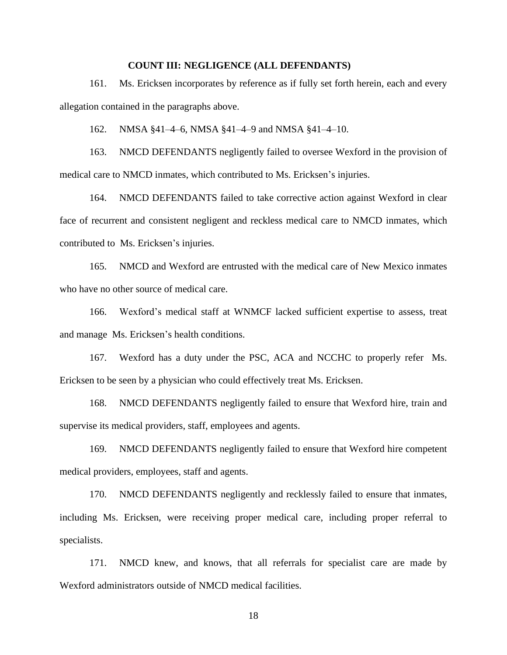#### **COUNT III: NEGLIGENCE (ALL DEFENDANTS)**

161. Ms. Ericksen incorporates by reference as if fully set forth herein, each and every allegation contained in the paragraphs above.

162. NMSA §41–4–6, NMSA §41–4–9 and NMSA §41–4–10.

163. NMCD DEFENDANTS negligently failed to oversee Wexford in the provision of medical care to NMCD inmates, which contributed to Ms. Ericksen's injuries.

164. NMCD DEFENDANTS failed to take corrective action against Wexford in clear face of recurrent and consistent negligent and reckless medical care to NMCD inmates, which contributed to Ms. Ericksen's injuries.

165. NMCD and Wexford are entrusted with the medical care of New Mexico inmates who have no other source of medical care.

166. Wexford's medical staff at WNMCF lacked sufficient expertise to assess, treat and manage Ms. Ericksen's health conditions.

167. Wexford has a duty under the PSC, ACA and NCCHC to properly refer Ms. Ericksen to be seen by a physician who could effectively treat Ms. Ericksen.

168. NMCD DEFENDANTS negligently failed to ensure that Wexford hire, train and supervise its medical providers, staff, employees and agents.

169. NMCD DEFENDANTS negligently failed to ensure that Wexford hire competent medical providers, employees, staff and agents.

170. NMCD DEFENDANTS negligently and recklessly failed to ensure that inmates, including Ms. Ericksen, were receiving proper medical care, including proper referral to specialists.

171. NMCD knew, and knows, that all referrals for specialist care are made by Wexford administrators outside of NMCD medical facilities.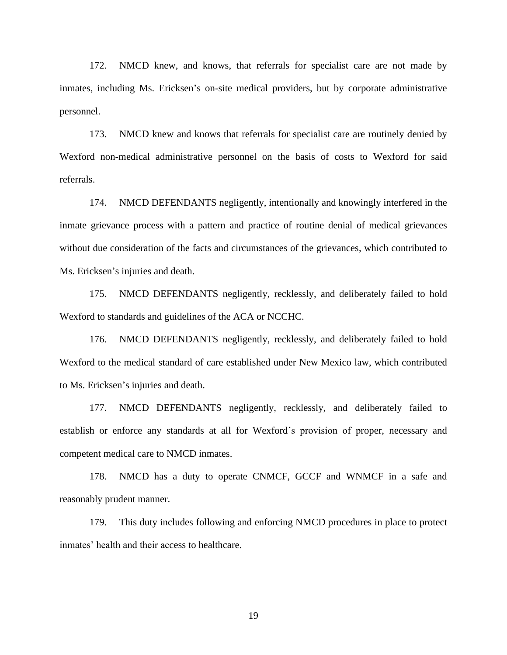172. NMCD knew, and knows, that referrals for specialist care are not made by inmates, including Ms. Ericksen's on-site medical providers, but by corporate administrative personnel.

173. NMCD knew and knows that referrals for specialist care are routinely denied by Wexford non-medical administrative personnel on the basis of costs to Wexford for said referrals.

174. NMCD DEFENDANTS negligently, intentionally and knowingly interfered in the inmate grievance process with a pattern and practice of routine denial of medical grievances without due consideration of the facts and circumstances of the grievances, which contributed to Ms. Ericksen's injuries and death.

175. NMCD DEFENDANTS negligently, recklessly, and deliberately failed to hold Wexford to standards and guidelines of the ACA or NCCHC.

176. NMCD DEFENDANTS negligently, recklessly, and deliberately failed to hold Wexford to the medical standard of care established under New Mexico law, which contributed to Ms. Ericksen's injuries and death.

177. NMCD DEFENDANTS negligently, recklessly, and deliberately failed to establish or enforce any standards at all for Wexford's provision of proper, necessary and competent medical care to NMCD inmates.

178. NMCD has a duty to operate CNMCF, GCCF and WNMCF in a safe and reasonably prudent manner.

179. This duty includes following and enforcing NMCD procedures in place to protect inmates' health and their access to healthcare.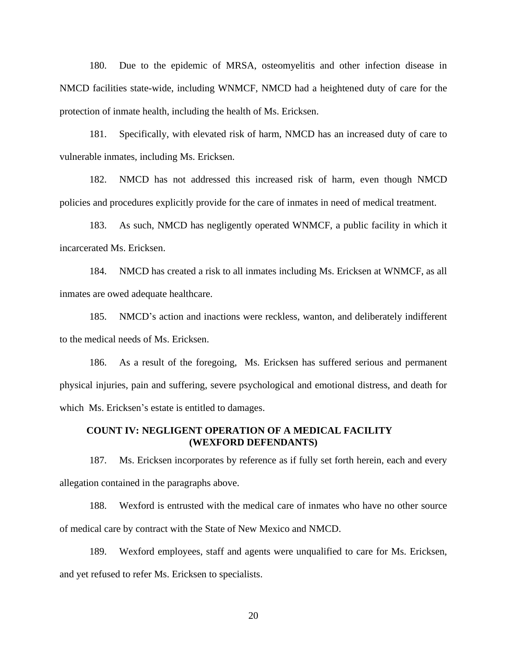180. Due to the epidemic of MRSA, osteomyelitis and other infection disease in NMCD facilities state-wide, including WNMCF, NMCD had a heightened duty of care for the protection of inmate health, including the health of Ms. Ericksen.

181. Specifically, with elevated risk of harm, NMCD has an increased duty of care to vulnerable inmates, including Ms. Ericksen.

182. NMCD has not addressed this increased risk of harm, even though NMCD policies and procedures explicitly provide for the care of inmates in need of medical treatment.

183. As such, NMCD has negligently operated WNMCF, a public facility in which it incarcerated Ms. Ericksen.

184. NMCD has created a risk to all inmates including Ms. Ericksen at WNMCF, as all inmates are owed adequate healthcare.

185. NMCD's action and inactions were reckless, wanton, and deliberately indifferent to the medical needs of Ms. Ericksen.

186. As a result of the foregoing, Ms. Ericksen has suffered serious and permanent physical injuries, pain and suffering, severe psychological and emotional distress, and death for which Ms. Ericksen's estate is entitled to damages.

### **COUNT IV: NEGLIGENT OPERATION OF A MEDICAL FACILITY (WEXFORD DEFENDANTS)**

187. Ms. Ericksen incorporates by reference as if fully set forth herein, each and every allegation contained in the paragraphs above.

188. Wexford is entrusted with the medical care of inmates who have no other source of medical care by contract with the State of New Mexico and NMCD.

189. Wexford employees, staff and agents were unqualified to care for Ms. Ericksen, and yet refused to refer Ms. Ericksen to specialists.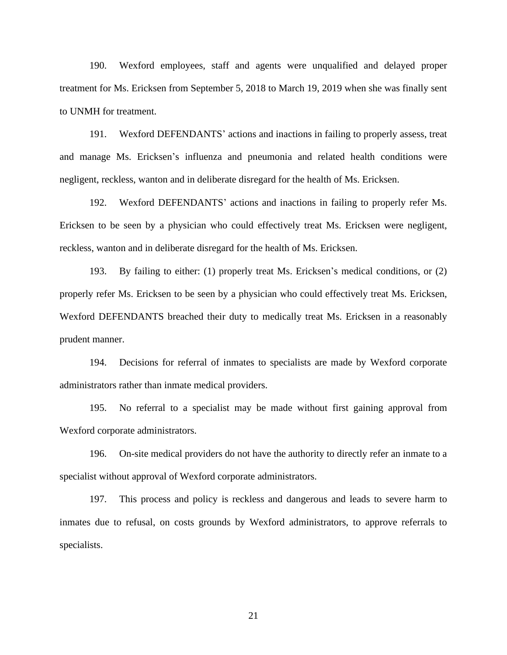190. Wexford employees, staff and agents were unqualified and delayed proper treatment for Ms. Ericksen from September 5, 2018 to March 19, 2019 when she was finally sent to UNMH for treatment.

191. Wexford DEFENDANTS' actions and inactions in failing to properly assess, treat and manage Ms. Ericksen's influenza and pneumonia and related health conditions were negligent, reckless, wanton and in deliberate disregard for the health of Ms. Ericksen.

192. Wexford DEFENDANTS' actions and inactions in failing to properly refer Ms. Ericksen to be seen by a physician who could effectively treat Ms. Ericksen were negligent, reckless, wanton and in deliberate disregard for the health of Ms. Ericksen.

193. By failing to either: (1) properly treat Ms. Ericksen's medical conditions, or (2) properly refer Ms. Ericksen to be seen by a physician who could effectively treat Ms. Ericksen, Wexford DEFENDANTS breached their duty to medically treat Ms. Ericksen in a reasonably prudent manner.

194. Decisions for referral of inmates to specialists are made by Wexford corporate administrators rather than inmate medical providers.

195. No referral to a specialist may be made without first gaining approval from Wexford corporate administrators.

196. On-site medical providers do not have the authority to directly refer an inmate to a specialist without approval of Wexford corporate administrators.

197. This process and policy is reckless and dangerous and leads to severe harm to inmates due to refusal, on costs grounds by Wexford administrators, to approve referrals to specialists.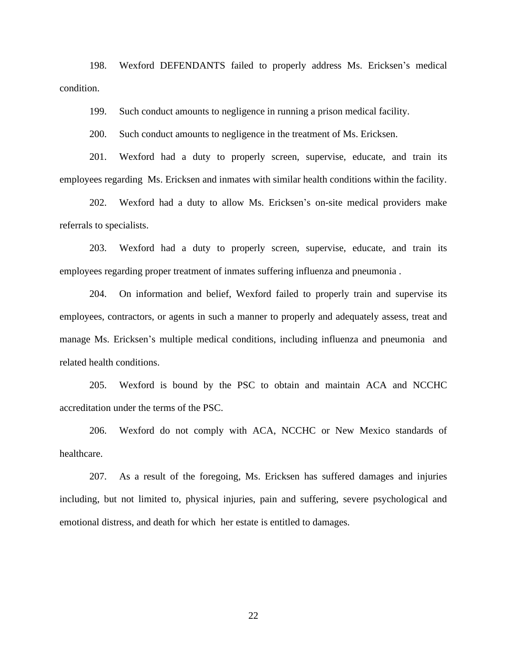198. Wexford DEFENDANTS failed to properly address Ms. Ericksen's medical condition.

199. Such conduct amounts to negligence in running a prison medical facility.

200. Such conduct amounts to negligence in the treatment of Ms. Ericksen.

201. Wexford had a duty to properly screen, supervise, educate, and train its employees regarding Ms. Ericksen and inmates with similar health conditions within the facility.

202. Wexford had a duty to allow Ms. Ericksen's on-site medical providers make referrals to specialists.

203. Wexford had a duty to properly screen, supervise, educate, and train its employees regarding proper treatment of inmates suffering influenza and pneumonia .

204. On information and belief, Wexford failed to properly train and supervise its employees, contractors, or agents in such a manner to properly and adequately assess, treat and manage Ms. Ericksen's multiple medical conditions, including influenza and pneumonia and related health conditions.

205. Wexford is bound by the PSC to obtain and maintain ACA and NCCHC accreditation under the terms of the PSC.

206. Wexford do not comply with ACA, NCCHC or New Mexico standards of healthcare.

207. As a result of the foregoing, Ms. Ericksen has suffered damages and injuries including, but not limited to, physical injuries, pain and suffering, severe psychological and emotional distress, and death for which her estate is entitled to damages.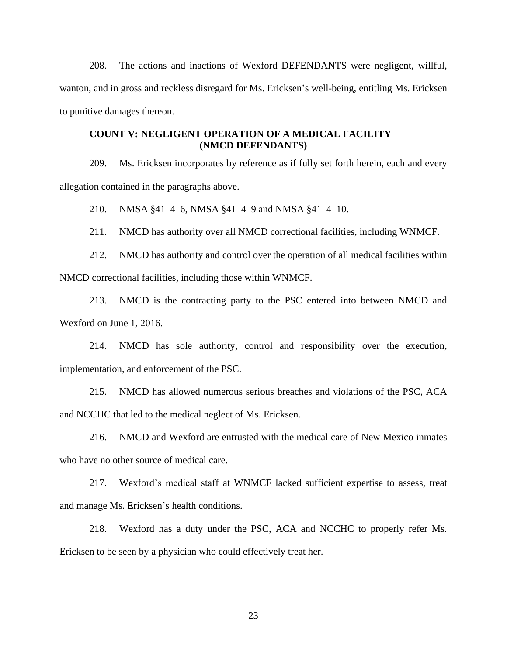208. The actions and inactions of Wexford DEFENDANTS were negligent, willful, wanton, and in gross and reckless disregard for Ms. Ericksen's well-being, entitling Ms. Ericksen to punitive damages thereon.

# **COUNT V: NEGLIGENT OPERATION OF A MEDICAL FACILITY (NMCD DEFENDANTS)**

209. Ms. Ericksen incorporates by reference as if fully set forth herein, each and every allegation contained in the paragraphs above.

210. NMSA §41–4–6, NMSA §41–4–9 and NMSA §41–4–10.

211. NMCD has authority over all NMCD correctional facilities, including WNMCF.

212. NMCD has authority and control over the operation of all medical facilities within NMCD correctional facilities, including those within WNMCF.

213. NMCD is the contracting party to the PSC entered into between NMCD and Wexford on June 1, 2016.

214. NMCD has sole authority, control and responsibility over the execution, implementation, and enforcement of the PSC.

215. NMCD has allowed numerous serious breaches and violations of the PSC, ACA and NCCHC that led to the medical neglect of Ms. Ericksen.

216. NMCD and Wexford are entrusted with the medical care of New Mexico inmates who have no other source of medical care.

217. Wexford's medical staff at WNMCF lacked sufficient expertise to assess, treat and manage Ms. Ericksen's health conditions.

218. Wexford has a duty under the PSC, ACA and NCCHC to properly refer Ms. Ericksen to be seen by a physician who could effectively treat her.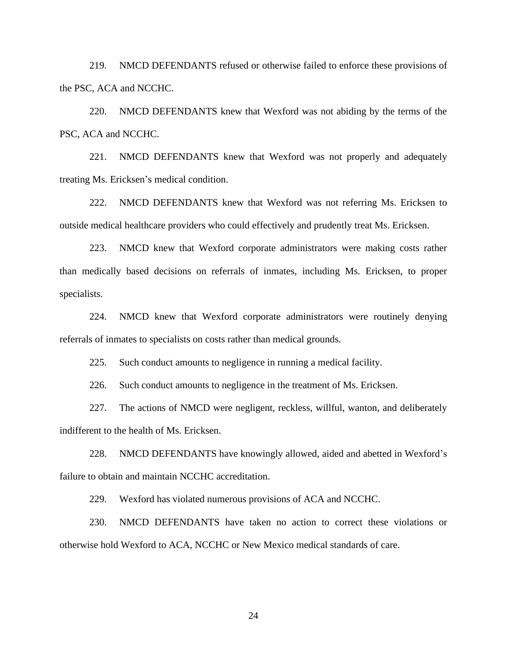219. NMCD DEFENDANTS refused or otherwise failed to enforce these provisions of the PSC, ACA and NCCHC.

220. NMCD DEFENDANTS knew that Wexford was not abiding by the terms of the PSC, ACA and NCCHC.

221. NMCD DEFENDANTS knew that Wexford was not properly and adequately treating Ms. Ericksen's medical condition.

222. NMCD DEFENDANTS knew that Wexford was not referring Ms. Ericksen to outside medical healthcare providers who could effectively and prudently treat Ms. Ericksen.

223. NMCD knew that Wexford corporate administrators were making costs rather than medically based decisions on referrals of inmates, including Ms. Ericksen, to proper specialists.

224. NMCD knew that Wexford corporate administrators were routinely denying referrals of inmates to specialists on costs rather than medical grounds.

225. Such conduct amounts to negligence in running a medical facility.

226. Such conduct amounts to negligence in the treatment of Ms. Ericksen.

227. The actions of NMCD were negligent, reckless, willful, wanton, and deliberately indifferent to the health of Ms. Ericksen.

228. NMCD DEFENDANTS have knowingly allowed, aided and abetted in Wexford's failure to obtain and maintain NCCHC accreditation.

229. Wexford has violated numerous provisions of ACA and NCCHC.

230. NMCD DEFENDANTS have taken no action to correct these violations or otherwise hold Wexford to ACA, NCCHC or New Mexico medical standards of care.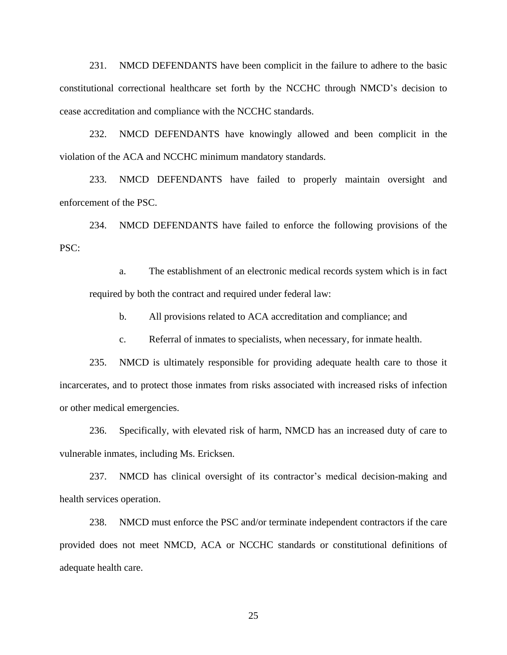231. NMCD DEFENDANTS have been complicit in the failure to adhere to the basic constitutional correctional healthcare set forth by the NCCHC through NMCD's decision to cease accreditation and compliance with the NCCHC standards.

232. NMCD DEFENDANTS have knowingly allowed and been complicit in the violation of the ACA and NCCHC minimum mandatory standards.

233. NMCD DEFENDANTS have failed to properly maintain oversight and enforcement of the PSC.

234. NMCD DEFENDANTS have failed to enforce the following provisions of the PSC:

a. The establishment of an electronic medical records system which is in fact required by both the contract and required under federal law:

b. All provisions related to ACA accreditation and compliance; and

c. Referral of inmates to specialists, when necessary, for inmate health.

235. NMCD is ultimately responsible for providing adequate health care to those it incarcerates, and to protect those inmates from risks associated with increased risks of infection or other medical emergencies.

236. Specifically, with elevated risk of harm, NMCD has an increased duty of care to vulnerable inmates, including Ms. Ericksen.

237. NMCD has clinical oversight of its contractor's medical decision-making and health services operation.

238. NMCD must enforce the PSC and/or terminate independent contractors if the care provided does not meet NMCD, ACA or NCCHC standards or constitutional definitions of adequate health care.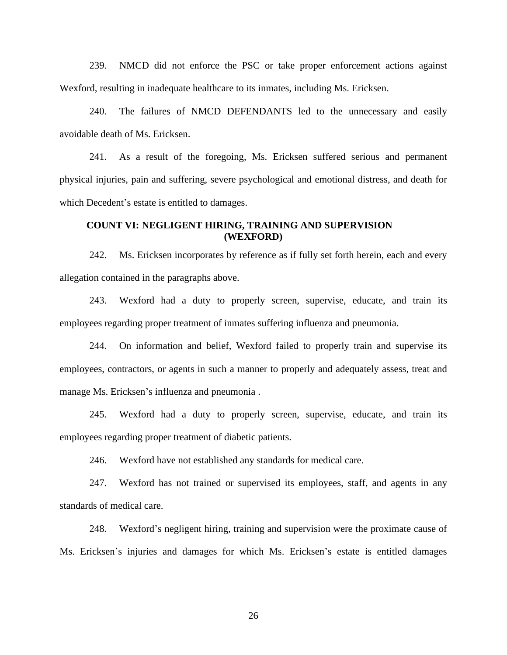239. NMCD did not enforce the PSC or take proper enforcement actions against Wexford, resulting in inadequate healthcare to its inmates, including Ms. Ericksen.

240. The failures of NMCD DEFENDANTS led to the unnecessary and easily avoidable death of Ms. Ericksen.

241. As a result of the foregoing, Ms. Ericksen suffered serious and permanent physical injuries, pain and suffering, severe psychological and emotional distress, and death for which Decedent's estate is entitled to damages.

#### **COUNT VI: NEGLIGENT HIRING, TRAINING AND SUPERVISION (WEXFORD)**

242. Ms. Ericksen incorporates by reference as if fully set forth herein, each and every allegation contained in the paragraphs above.

243. Wexford had a duty to properly screen, supervise, educate, and train its employees regarding proper treatment of inmates suffering influenza and pneumonia.

244. On information and belief, Wexford failed to properly train and supervise its employees, contractors, or agents in such a manner to properly and adequately assess, treat and manage Ms. Ericksen's influenza and pneumonia .

245. Wexford had a duty to properly screen, supervise, educate, and train its employees regarding proper treatment of diabetic patients.

246. Wexford have not established any standards for medical care.

247. Wexford has not trained or supervised its employees, staff, and agents in any standards of medical care.

248. Wexford's negligent hiring, training and supervision were the proximate cause of Ms. Ericksen's injuries and damages for which Ms. Ericksen's estate is entitled damages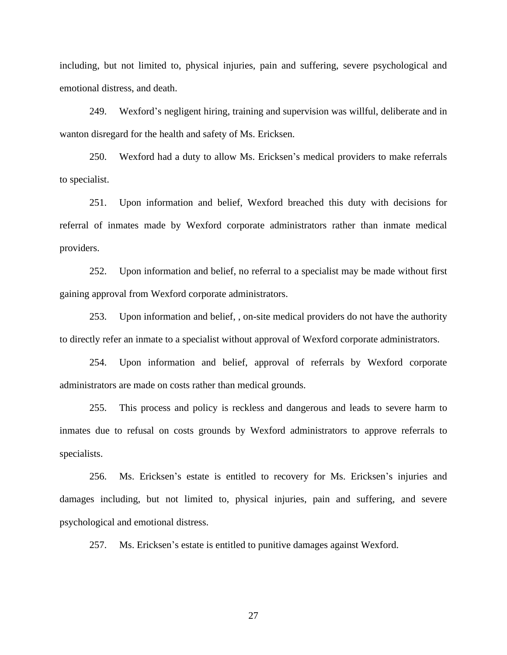including, but not limited to, physical injuries, pain and suffering, severe psychological and emotional distress, and death.

249. Wexford's negligent hiring, training and supervision was willful, deliberate and in wanton disregard for the health and safety of Ms. Ericksen.

250. Wexford had a duty to allow Ms. Ericksen's medical providers to make referrals to specialist.

251. Upon information and belief, Wexford breached this duty with decisions for referral of inmates made by Wexford corporate administrators rather than inmate medical providers.

252. Upon information and belief, no referral to a specialist may be made without first gaining approval from Wexford corporate administrators.

253. Upon information and belief, , on-site medical providers do not have the authority to directly refer an inmate to a specialist without approval of Wexford corporate administrators.

254. Upon information and belief, approval of referrals by Wexford corporate administrators are made on costs rather than medical grounds.

255. This process and policy is reckless and dangerous and leads to severe harm to inmates due to refusal on costs grounds by Wexford administrators to approve referrals to specialists.

256. Ms. Ericksen's estate is entitled to recovery for Ms. Ericksen's injuries and damages including, but not limited to, physical injuries, pain and suffering, and severe psychological and emotional distress.

257. Ms. Ericksen's estate is entitled to punitive damages against Wexford.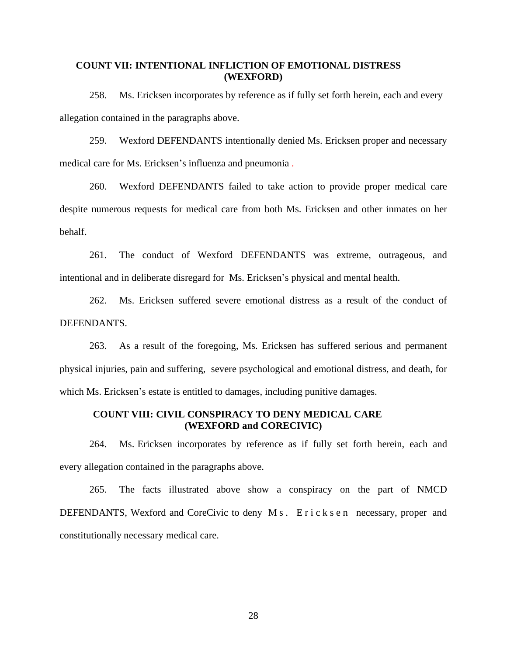## **COUNT VII: INTENTIONAL INFLICTION OF EMOTIONAL DISTRESS (WEXFORD)**

258. Ms. Ericksen incorporates by reference as if fully set forth herein, each and every allegation contained in the paragraphs above.

259. Wexford DEFENDANTS intentionally denied Ms. Ericksen proper and necessary medical care for Ms. Ericksen's influenza and pneumonia .

260. Wexford DEFENDANTS failed to take action to provide proper medical care despite numerous requests for medical care from both Ms. Ericksen and other inmates on her behalf.

261. The conduct of Wexford DEFENDANTS was extreme, outrageous, and intentional and in deliberate disregard for Ms. Ericksen's physical and mental health.

262. Ms. Ericksen suffered severe emotional distress as a result of the conduct of DEFENDANTS.

263. As a result of the foregoing, Ms. Ericksen has suffered serious and permanent physical injuries, pain and suffering, severe psychological and emotional distress, and death, for which Ms. Ericksen's estate is entitled to damages, including punitive damages.

## **COUNT VIII: CIVIL CONSPIRACY TO DENY MEDICAL CARE (WEXFORD and CORECIVIC)**

264. Ms. Ericksen incorporates by reference as if fully set forth herein, each and every allegation contained in the paragraphs above.

265. The facts illustrated above show a conspiracy on the part of NMCD DEFENDANTS, Wexford and CoreCivic to deny M s. E r i c k s e n necessary, proper and constitutionally necessary medical care.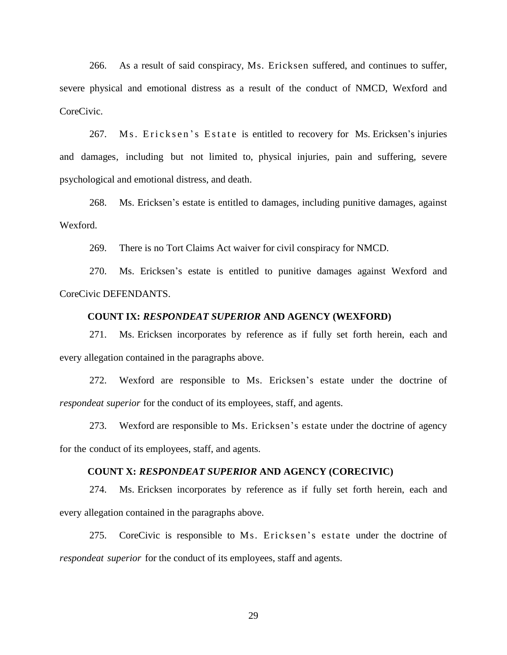266. As a result of said conspiracy, Ms. Ericksen suffered, and continues to suffer, severe physical and emotional distress as a result of the conduct of NMCD, Wexford and CoreCivic.

267. Ms. Ericksen's Estate is entitled to recovery for Ms. Ericksen's injuries and damages, including but not limited to, physical injuries, pain and suffering, severe psychological and emotional distress, and death.

268. Ms. Ericksen's estate is entitled to damages, including punitive damages, against Wexford.

269. There is no Tort Claims Act waiver for civil conspiracy for NMCD.

270. Ms. Ericksen's estate is entitled to punitive damages against Wexford and CoreCivic DEFENDANTS.

#### **COUNT IX:** *RESPONDEAT SUPERIOR* **AND AGENCY (WEXFORD)**

271. Ms. Ericksen incorporates by reference as if fully set forth herein, each and every allegation contained in the paragraphs above.

272. Wexford are responsible to Ms. Ericksen's estate under the doctrine of *respondeat superior* for the conduct of its employees, staff, and agents.

273. Wexford are responsible to Ms. Ericksen's estate under the doctrine of agency for the conduct of its employees, staff, and agents.

#### **COUNT X:** *RESPONDEAT SUPERIOR* **AND AGENCY (CORECIVIC)**

274. Ms. Ericksen incorporates by reference as if fully set forth herein, each and every allegation contained in the paragraphs above.

275. CoreCivic is responsible to Ms. Ericksen's estate under the doctrine of *respondeat superior* for the conduct of its employees, staff and agents.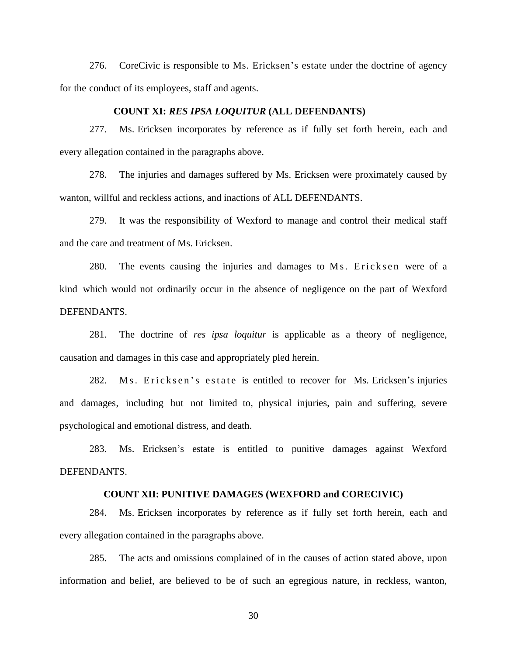276. CoreCivic is responsible to Ms. Ericksen's estate under the doctrine of agency for the conduct of its employees, staff and agents.

#### **COUNT XI:** *RES IPSA LOQUITUR* **(ALL DEFENDANTS)**

277. Ms. Ericksen incorporates by reference as if fully set forth herein, each and every allegation contained in the paragraphs above.

278. The injuries and damages suffered by Ms. Ericksen were proximately caused by wanton, willful and reckless actions, and inactions of ALL DEFENDANTS.

279. It was the responsibility of Wexford to manage and control their medical staff and the care and treatment of Ms. Ericksen.

280. The events causing the injuries and damages to M<sub>s</sub>. Ericksen were of a kind which would not ordinarily occur in the absence of negligence on the part of Wexford DEFENDANTS.

281. The doctrine of *res ipsa loquitur* is applicable as a theory of negligence, causation and damages in this case and appropriately pled herein.

282. Ms. Ericksen's estate is entitled to recover for Ms. Ericksen's injuries and damages, including but not limited to, physical injuries, pain and suffering, severe psychological and emotional distress, and death.

283. Ms. Ericksen's estate is entitled to punitive damages against Wexford DEFENDANTS.

#### **COUNT XII: PUNITIVE DAMAGES (WEXFORD and CORECIVIC)**

284. Ms. Ericksen incorporates by reference as if fully set forth herein, each and every allegation contained in the paragraphs above.

285. The acts and omissions complained of in the causes of action stated above, upon information and belief, are believed to be of such an egregious nature, in reckless, wanton,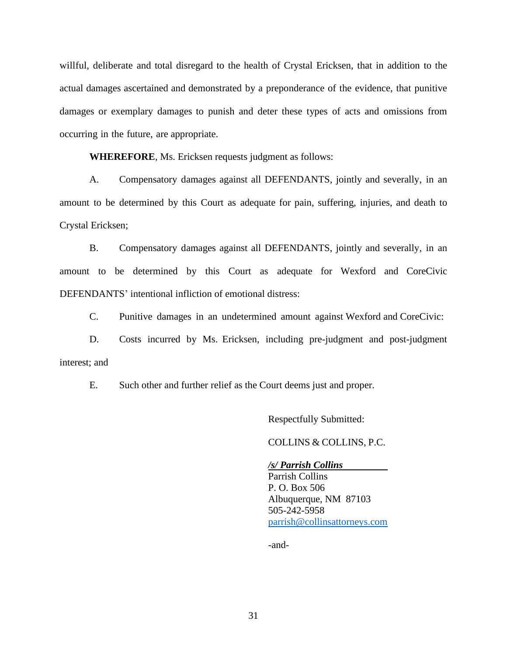willful, deliberate and total disregard to the health of Crystal Ericksen, that in addition to the actual damages ascertained and demonstrated by a preponderance of the evidence, that punitive damages or exemplary damages to punish and deter these types of acts and omissions from occurring in the future, are appropriate.

**WHEREFORE**, Ms. Ericksen requests judgment as follows:

A. Compensatory damages against all DEFENDANTS, jointly and severally, in an amount to be determined by this Court as adequate for pain, suffering, injuries, and death to Crystal Ericksen;

B. Compensatory damages against all DEFENDANTS, jointly and severally, in an amount to be determined by this Court as adequate for Wexford and CoreCivic DEFENDANTS' intentional infliction of emotional distress:

C. Punitive damages in an undetermined amount against Wexford and CoreCivic:

D. Costs incurred by Ms. Ericksen, including pre-judgment and post-judgment interest; and

E. Such other and further relief as the Court deems just and proper.

Respectfully Submitted:

COLLINS & COLLINS, P.C.

#### */s/ Parrish Collins*

Parrish Collins P. O. Box 506 Albuquerque, NM 87103 505-242-5958 [parrish@collinsattorneys.com](mailto:parrish@collinsattorneys.com)

-and-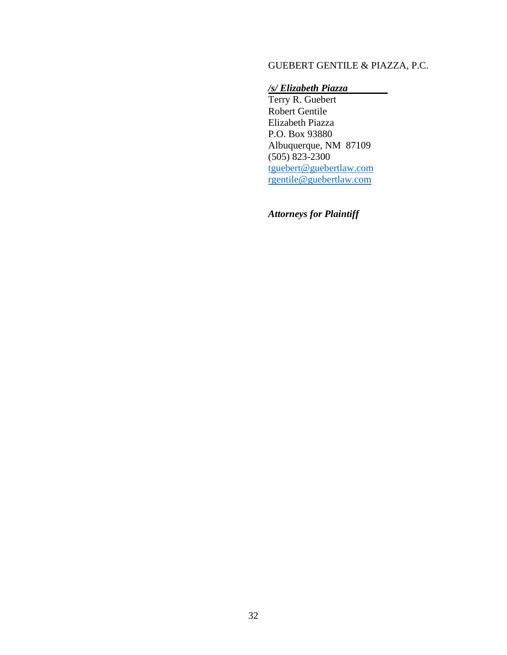# GUEBERT GENTILE & PIAZZA, P.C.

# */s/ Elizabeth Piazza*

Terry R. Guebert Robert Gentile Elizabeth Piazza P.O. Box 93880 Albuquerque, NM 87109 (505) 823-2300 [tguebert@guebertlaw.com](mailto:tguebert@guebertlaw.com) [rgentile@guebertlaw.com](mailto:rgentile@guebertlaw.com)

*Attorneys for Plaintiff*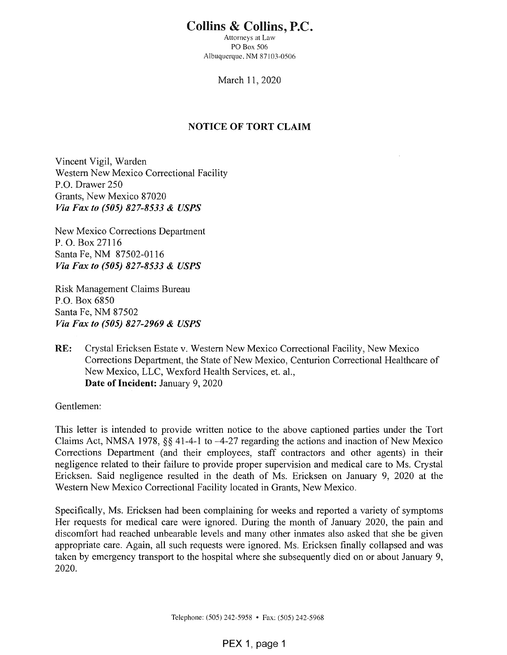# **Collins & Collins, P.C.**

Attorneys at Law PO Box 506 Albuquerque, NM 87103-0506

March 11, 2020

## **NOTICE OF TORT CLAIM**

Vincent Vigil, Warden Western New Mexico Correctional Facility P.O. Drawer 250 Grants, New Mexico 87020 Via Fax to (505) 827-8533 & USPS

New Mexico Corrections Department P. O. Box 27116 Santa Fe, NM 87502-0116 Via Fax to (505) 827-8533 & USPS

Risk Management Claims Bureau P.O. Box 6850 Santa Fe, NM 87502 Via Fax to (505) 827-2969 & USPS

RE: Crystal Ericksen Estate v. Western New Mexico Correctional Facility, New Mexico Corrections Department, the State of New Mexico, Centurion Correctional Healthcare of New Mexico, LLC, Wexford Health Services, et. al., Date of Incident: January 9, 2020

Gentlemen:

This letter is intended to provide written notice to the above captioned parties under the Tort Claims Act, NMSA 1978,  $\S$  41-4-1 to -4-27 regarding the actions and inaction of New Mexico Corrections Department (and their employees, staff contractors and other agents) in their negligence related to their failure to provide proper supervision and medical care to Ms. Crystal Ericksen. Said negligence resulted in the death of Ms. Ericksen on January 9, 2020 at the Western New Mexico Correctional Facility located in Grants, New Mexico.

Specifically, Ms. Ericksen had been complaining for weeks and reported a variety of symptoms Her requests for medical care were ignored. During the month of January 2020, the pain and discomfort had reached unbearable levels and many other inmates also asked that she be given appropriate care. Again, all such requests were ignored. Ms. Ericksen finally collapsed and was taken by emergency transport to the hospital where she subsequently died on or about January 9, 2020.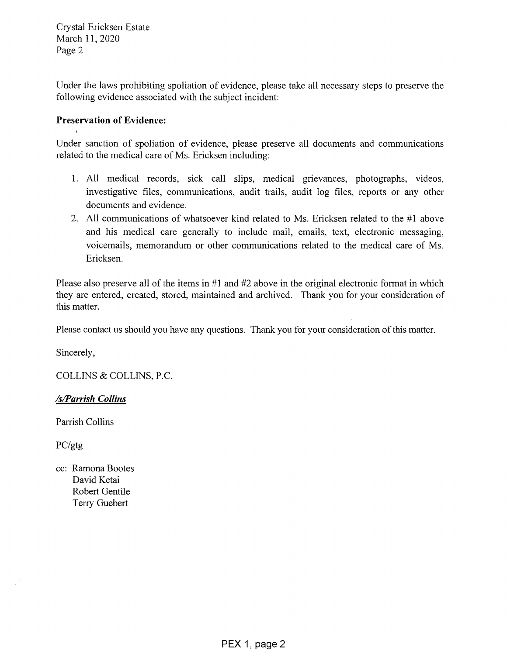Crystal Ericksen Estate March 11, 2020 Page 2

Under the laws prohibiting spoliation of evidence, please take all necessary steps to preserve the following evidence associated with the subject incident:

# **Preservation of Evidence:**

Under sanction of spoliation of evidence, please preserve all documents and communications related to the medical care of Ms. Ericksen including:

- 1. All medical records, sick call slips, medical grievances, photographs, videos, investigative files, communications, audit trails, audit log files, reports or any other documents and evidence.
- 2. All communications of whatsoever kind related to Ms. Ericksen related to the #1 above and his medical care generally to include mail, emails, text, electronic messaging, voicemails, memorandum or other communications related to the medical care of Ms. Ericksen.

Please also preserve all of the items in  $#1$  and  $#2$  above in the original electronic format in which they are entered, created, stored, maintained and archived. Thank you for your consideration of this matter.

Please contact us should you have any questions. Thank you for your consideration of this matter.

Sincerely,

COLLINS & COLLINS, P.C.

# /s/Parrish Collins

Parrish Collins

 $PC/gtg$ 

cc: Ramona Bootes David Ketai Robert Gentile Terry Guebert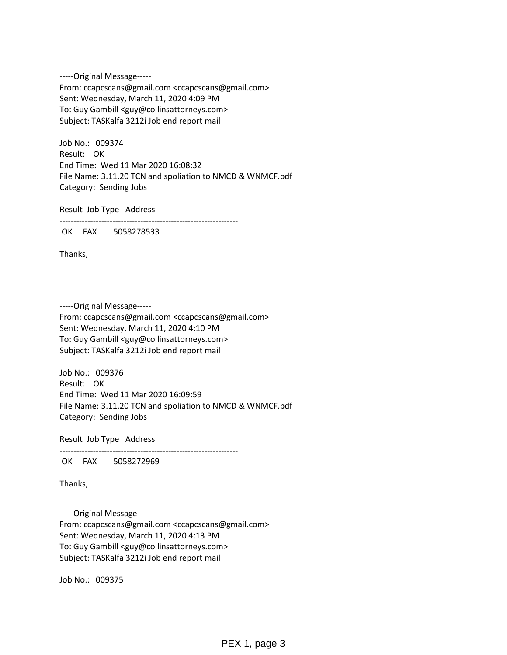-----Original Message----- From: ccapcscans@gmail.com <ccapcscans@gmail.com> Sent: Wednesday, March 11, 2020 4:09 PM To: Guy Gambill <guy@collinsattorneys.com> Subject: TASKalfa 3212i Job end report mail

Job No.: 009374 Result: OK End Time: Wed 11 Mar 2020 16:08:32 File Name: 3.11.20 TCN and spoliation to NMCD & WNMCF.pdf Category: Sending Jobs

Result Job Type Address

----------------------------------------------------------------

OK FAX 5058278533

Thanks,

-----Original Message----- From: ccapcscans@gmail.com <ccapcscans@gmail.com> Sent: Wednesday, March 11, 2020 4:10 PM To: Guy Gambill <guy@collinsattorneys.com> Subject: TASKalfa 3212i Job end report mail

Job No.: 009376 Result: OK End Time: Wed 11 Mar 2020 16:09:59 File Name: 3.11.20 TCN and spoliation to NMCD & WNMCF.pdf Category: Sending Jobs

Result Job Type Address

----------------------------------------------------------------

OK FAX 5058272969

Thanks,

-----Original Message----- From: ccapcscans@gmail.com <ccapcscans@gmail.com> Sent: Wednesday, March 11, 2020 4:13 PM To: Guy Gambill <guy@collinsattorneys.com> Subject: TASKalfa 3212i Job end report mail

Job No.: 009375